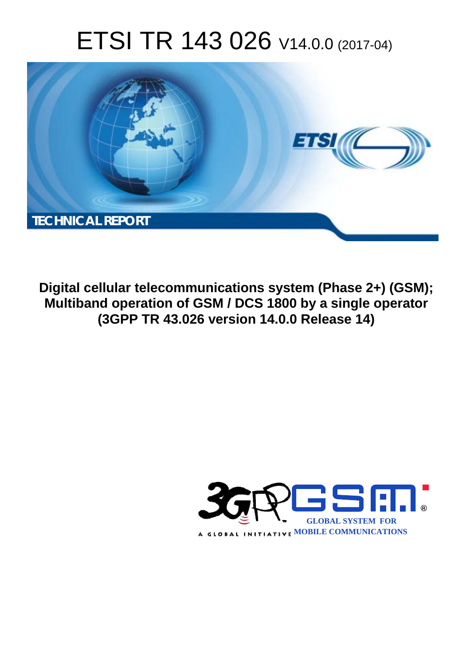# ETSI TR 143 026 V14.0.0 (2017-04)



**Digital cellular telecommunications system (Phase 2+) (GSM); Multiband operation of GSM / DCS 1800 by a single operator (3GPP TR 43.026 version 14.0.0 Release 14)** 

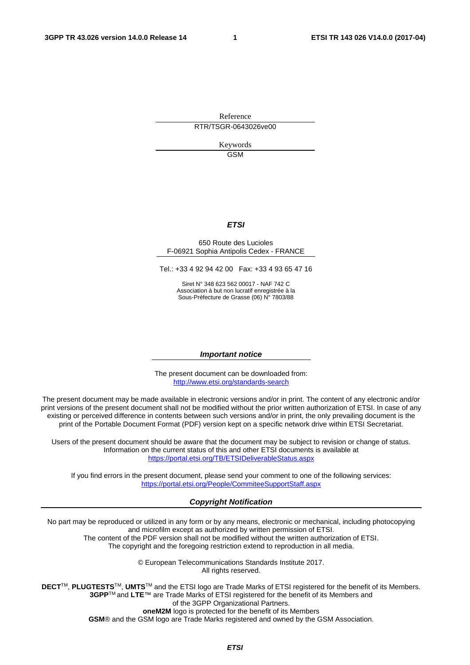Reference RTR/TSGR-0643026ve00

> Keywords GSM

#### *ETSI*

#### 650 Route des Lucioles F-06921 Sophia Antipolis Cedex - FRANCE

Tel.: +33 4 92 94 42 00 Fax: +33 4 93 65 47 16

Siret N° 348 623 562 00017 - NAF 742 C Association à but non lucratif enregistrée à la Sous-Préfecture de Grasse (06) N° 7803/88

#### *Important notice*

The present document can be downloaded from: <http://www.etsi.org/standards-search>

The present document may be made available in electronic versions and/or in print. The content of any electronic and/or print versions of the present document shall not be modified without the prior written authorization of ETSI. In case of any existing or perceived difference in contents between such versions and/or in print, the only prevailing document is the print of the Portable Document Format (PDF) version kept on a specific network drive within ETSI Secretariat.

Users of the present document should be aware that the document may be subject to revision or change of status. Information on the current status of this and other ETSI documents is available at <https://portal.etsi.org/TB/ETSIDeliverableStatus.aspx>

If you find errors in the present document, please send your comment to one of the following services: <https://portal.etsi.org/People/CommiteeSupportStaff.aspx>

#### *Copyright Notification*

No part may be reproduced or utilized in any form or by any means, electronic or mechanical, including photocopying and microfilm except as authorized by written permission of ETSI.

The content of the PDF version shall not be modified without the written authorization of ETSI. The copyright and the foregoing restriction extend to reproduction in all media.

> © European Telecommunications Standards Institute 2017. All rights reserved.

**DECT**TM, **PLUGTESTS**TM, **UMTS**TM and the ETSI logo are Trade Marks of ETSI registered for the benefit of its Members. **3GPP**TM and **LTE**™ are Trade Marks of ETSI registered for the benefit of its Members and of the 3GPP Organizational Partners.

**oneM2M** logo is protected for the benefit of its Members

**GSM**® and the GSM logo are Trade Marks registered and owned by the GSM Association.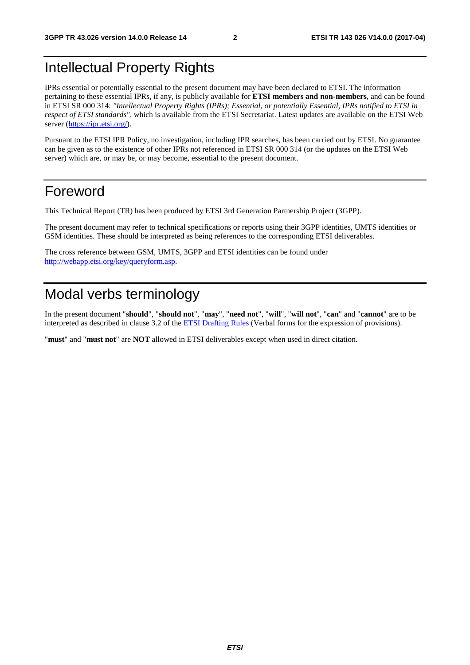# Intellectual Property Rights

IPRs essential or potentially essential to the present document may have been declared to ETSI. The information pertaining to these essential IPRs, if any, is publicly available for **ETSI members and non-members**, and can be found in ETSI SR 000 314: *"Intellectual Property Rights (IPRs); Essential, or potentially Essential, IPRs notified to ETSI in respect of ETSI standards"*, which is available from the ETSI Secretariat. Latest updates are available on the ETSI Web server ([https://ipr.etsi.org/\)](https://ipr.etsi.org/).

Pursuant to the ETSI IPR Policy, no investigation, including IPR searches, has been carried out by ETSI. No guarantee can be given as to the existence of other IPRs not referenced in ETSI SR 000 314 (or the updates on the ETSI Web server) which are, or may be, or may become, essential to the present document.

# Foreword

This Technical Report (TR) has been produced by ETSI 3rd Generation Partnership Project (3GPP).

The present document may refer to technical specifications or reports using their 3GPP identities, UMTS identities or GSM identities. These should be interpreted as being references to the corresponding ETSI deliverables.

The cross reference between GSM, UMTS, 3GPP and ETSI identities can be found under [http://webapp.etsi.org/key/queryform.asp.](http://webapp.etsi.org/key/queryform.asp)

# Modal verbs terminology

In the present document "**should**", "**should not**", "**may**", "**need not**", "**will**", "**will not**", "**can**" and "**cannot**" are to be interpreted as described in clause 3.2 of the [ETSI Drafting Rules](https://portal.etsi.org/Services/editHelp!/Howtostart/ETSIDraftingRules.aspx) (Verbal forms for the expression of provisions).

"**must**" and "**must not**" are **NOT** allowed in ETSI deliverables except when used in direct citation.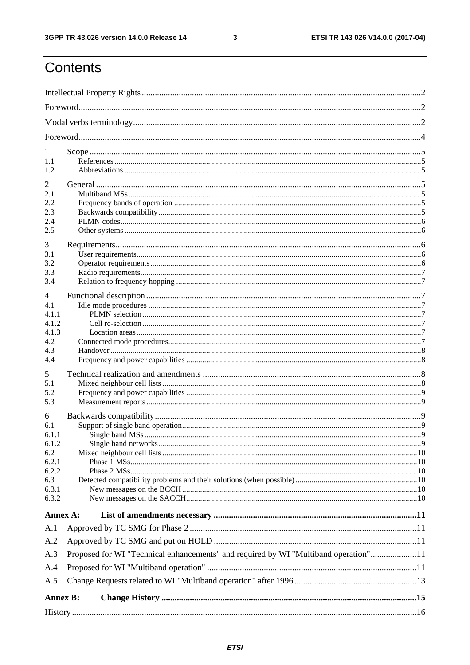$\mathbf{3}$ 

# Contents

| 1<br>1.1<br>1.2                                                              |                                                                                     |  |  |  |  |  |  |
|------------------------------------------------------------------------------|-------------------------------------------------------------------------------------|--|--|--|--|--|--|
| 2<br>2.1<br>2.2<br>2.3<br>2.4<br>2.5                                         |                                                                                     |  |  |  |  |  |  |
| 3<br>3.1<br>3.2<br>3.3<br>3.4                                                |                                                                                     |  |  |  |  |  |  |
| 4<br>4.1<br>4.1.1<br>4.1.2<br>4.1.3<br>4.2<br>4.3<br>4.4                     |                                                                                     |  |  |  |  |  |  |
| 5<br>5.1<br>5.2<br>5.3                                                       |                                                                                     |  |  |  |  |  |  |
| 6<br>6.1<br>6.1.1<br>6.1.2<br>6.2<br>6.2.1<br>6.2.2<br>6.3<br>6.3.1<br>6.3.2 |                                                                                     |  |  |  |  |  |  |
| Annex A:                                                                     |                                                                                     |  |  |  |  |  |  |
| A.1<br>A.2<br>A.3<br>A.4                                                     | Proposed for WI "Technical enhancements" and required by WI "Multiband operation"11 |  |  |  |  |  |  |
| A.5                                                                          |                                                                                     |  |  |  |  |  |  |
| <b>Annex B:</b>                                                              |                                                                                     |  |  |  |  |  |  |
|                                                                              |                                                                                     |  |  |  |  |  |  |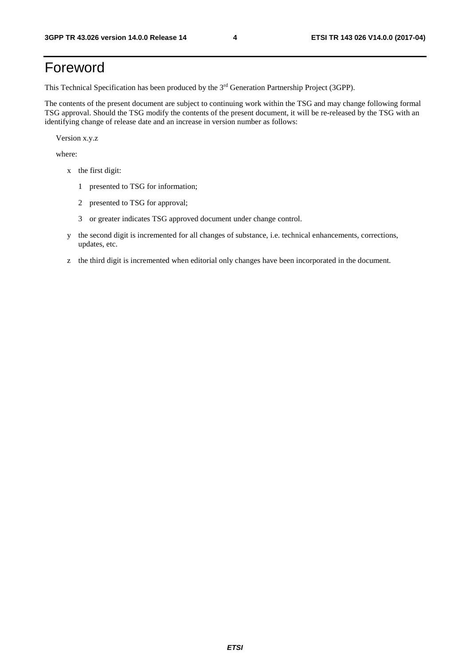# Foreword

This Technical Specification has been produced by the 3rd Generation Partnership Project (3GPP).

The contents of the present document are subject to continuing work within the TSG and may change following formal TSG approval. Should the TSG modify the contents of the present document, it will be re-released by the TSG with an identifying change of release date and an increase in version number as follows:

Version x.y.z

where:

- x the first digit:
	- 1 presented to TSG for information;
	- 2 presented to TSG for approval;
	- 3 or greater indicates TSG approved document under change control.
- y the second digit is incremented for all changes of substance, i.e. technical enhancements, corrections, updates, etc.
- z the third digit is incremented when editorial only changes have been incorporated in the document.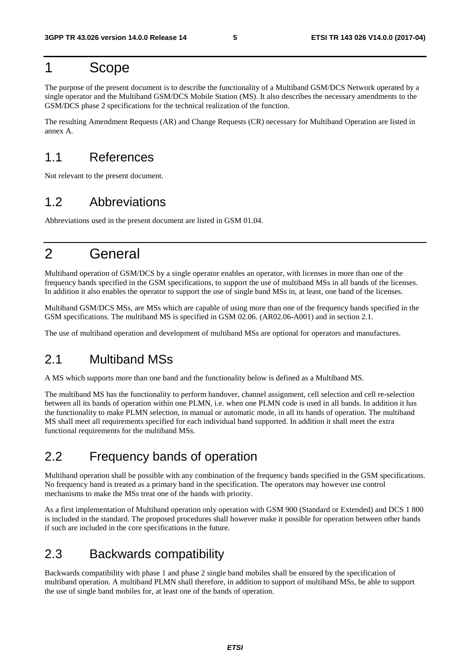### 1 Scope

The purpose of the present document is to describe the functionality of a Multiband GSM/DCS Network operated by a single operator and the Multiband GSM/DCS Mobile Station (MS). It also describes the necessary amendments to the GSM/DCS phase 2 specifications for the technical realization of the function.

The resulting Amendment Requests (AR) and Change Requests (CR) necessary for Multiband Operation are listed in annex A.

### 1.1 References

Not relevant to the present document.

### 1.2 Abbreviations

Abbreviations used in the present document are listed in GSM 01.04.

# 2 General

Multiband operation of GSM/DCS by a single operator enables an operator, with licenses in more than one of the frequency bands specified in the GSM specifications, to support the use of multiband MSs in all bands of the licenses. In addition it also enables the operator to support the use of single band MSs in, at least, one band of the licenses.

Multiband GSM/DCS MSs, are MSs which are capable of using more than one of the frequency bands specified in the GSM specifications. The multiband MS is specified in GSM 02.06. (AR02.06-A001) and in section 2.1.

The use of multiband operation and development of multiband MSs are optional for operators and manufactures.

### 2.1 Multiband MSs

A MS which supports more than one band and the functionality below is defined as a Multiband MS.

The multiband MS has the functionality to perform handover, channel assignment, cell selection and cell re-selection between all its bands of operation within one PLMN, i.e. when one PLMN code is used in all bands. In addition it has the functionality to make PLMN selection, in manual or automatic mode, in all its bands of operation. The multiband MS shall meet all requirements specified for each individual band supported. In addition it shall meet the extra functional requirements for the multiband MSs.

### 2.2 Frequency bands of operation

Multiband operation shall be possible with any combination of the frequency bands specified in the GSM specifications. No frequency band is treated as a primary band in the specification. The operators may however use control mechanisms to make the MSs treat one of the bands with priority.

As a first implementation of Multiband operation only operation with GSM 900 (Standard or Extended) and DCS 1 800 is included in the standard. The proposed procedures shall however make it possible for operation between other bands if such are included in the core specifications in the future.

### 2.3 Backwards compatibility

Backwards compatibility with phase 1 and phase 2 single band mobiles shall be ensured by the specification of multiband operation. A multiband PLMN shall therefore, in addition to support of multiband MSs, be able to support the use of single band mobiles for, at least one of the bands of operation.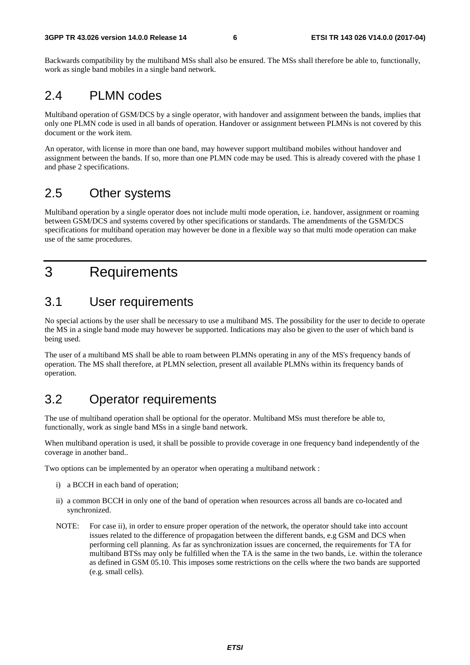Backwards compatibility by the multiband MSs shall also be ensured. The MSs shall therefore be able to, functionally, work as single band mobiles in a single band network.

### 2.4 PLMN codes

Multiband operation of GSM/DCS by a single operator, with handover and assignment between the bands, implies that only one PLMN code is used in all bands of operation. Handover or assignment between PLMNs is not covered by this document or the work item.

An operator, with license in more than one band, may however support multiband mobiles without handover and assignment between the bands. If so, more than one PLMN code may be used. This is already covered with the phase 1 and phase 2 specifications.

### 2.5 Other systems

Multiband operation by a single operator does not include multi mode operation, i.e. handover, assignment or roaming between GSM/DCS and systems covered by other specifications or standards. The amendments of the GSM/DCS specifications for multiband operation may however be done in a flexible way so that multi mode operation can make use of the same procedures.

# 3 Requirements

### 3.1 User requirements

No special actions by the user shall be necessary to use a multiband MS. The possibility for the user to decide to operate the MS in a single band mode may however be supported. Indications may also be given to the user of which band is being used.

The user of a multiband MS shall be able to roam between PLMNs operating in any of the MS's frequency bands of operation. The MS shall therefore, at PLMN selection, present all available PLMNs within its frequency bands of operation.

### 3.2 Operator requirements

The use of multiband operation shall be optional for the operator. Multiband MSs must therefore be able to, functionally, work as single band MSs in a single band network.

When multiband operation is used, it shall be possible to provide coverage in one frequency band independently of the coverage in another band..

Two options can be implemented by an operator when operating a multiband network :

- i) a BCCH in each band of operation;
- ii) a common BCCH in only one of the band of operation when resources across all bands are co-located and synchronized.
- NOTE: For case ii), in order to ensure proper operation of the network, the operator should take into account issues related to the difference of propagation between the different bands, e.g GSM and DCS when performing cell planning. As far as synchronization issues are concerned, the requirements for TA for multiband BTSs may only be fulfilled when the TA is the same in the two bands, i.e. within the tolerance as defined in GSM 05.10. This imposes some restrictions on the cells where the two bands are supported (e.g. small cells).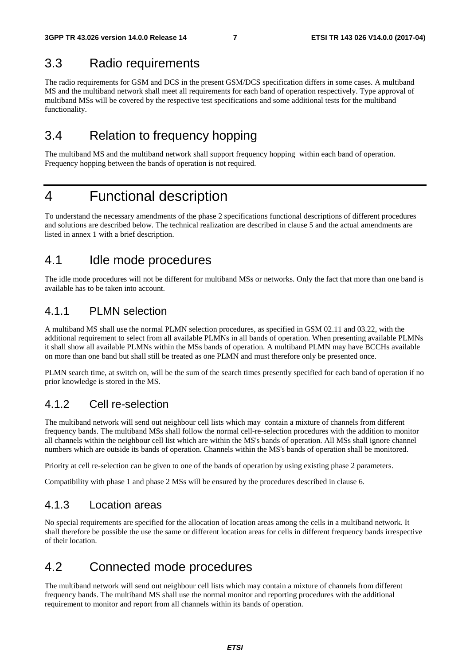### 3.3 Radio requirements

The radio requirements for GSM and DCS in the present GSM/DCS specification differs in some cases. A multiband MS and the multiband network shall meet all requirements for each band of operation respectively. Type approval of multiband MSs will be covered by the respective test specifications and some additional tests for the multiband functionality.

### 3.4 Relation to frequency hopping

The multiband MS and the multiband network shall support frequency hopping within each band of operation. Frequency hopping between the bands of operation is not required.

### 4 Functional description

To understand the necessary amendments of the phase 2 specifications functional descriptions of different procedures and solutions are described below. The technical realization are described in clause 5 and the actual amendments are listed in annex 1 with a brief description.

### 4.1 Idle mode procedures

The idle mode procedures will not be different for multiband MSs or networks. Only the fact that more than one band is available has to be taken into account.

### 4.1.1 PLMN selection

A multiband MS shall use the normal PLMN selection procedures, as specified in GSM 02.11 and 03.22, with the additional requirement to select from all available PLMNs in all bands of operation. When presenting available PLMNs it shall show all available PLMNs within the MSs bands of operation. A multiband PLMN may have BCCHs available on more than one band but shall still be treated as one PLMN and must therefore only be presented once.

PLMN search time, at switch on, will be the sum of the search times presently specified for each band of operation if no prior knowledge is stored in the MS.

### 4.1.2 Cell re-selection

The multiband network will send out neighbour cell lists which may contain a mixture of channels from different frequency bands. The multiband MSs shall follow the normal cell-re-selection procedures with the addition to monitor all channels within the neighbour cell list which are within the MS's bands of operation. All MSs shall ignore channel numbers which are outside its bands of operation. Channels within the MS's bands of operation shall be monitored.

Priority at cell re-selection can be given to one of the bands of operation by using existing phase 2 parameters.

Compatibility with phase 1 and phase 2 MSs will be ensured by the procedures described in clause 6.

### 4.1.3 Location areas

No special requirements are specified for the allocation of location areas among the cells in a multiband network. It shall therefore be possible the use the same or different location areas for cells in different frequency bands irrespective of their location.

### 4.2 Connected mode procedures

The multiband network will send out neighbour cell lists which may contain a mixture of channels from different frequency bands. The multiband MS shall use the normal monitor and reporting procedures with the additional requirement to monitor and report from all channels within its bands of operation.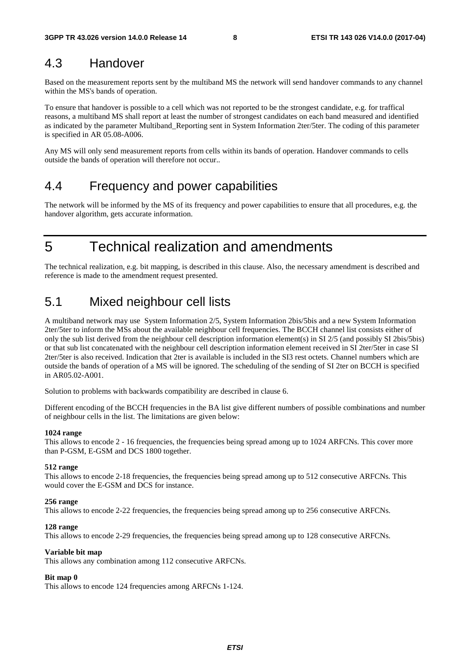### 4.3 Handover

Based on the measurement reports sent by the multiband MS the network will send handover commands to any channel within the MS's bands of operation.

To ensure that handover is possible to a cell which was not reported to be the strongest candidate, e.g. for traffical reasons, a multiband MS shall report at least the number of strongest candidates on each band measured and identified as indicated by the parameter Multiband\_Reporting sent in System Information 2ter/5ter. The coding of this parameter is specified in AR 05.08-A006.

Any MS will only send measurement reports from cells within its bands of operation. Handover commands to cells outside the bands of operation will therefore not occur..

### 4.4 Frequency and power capabilities

The network will be informed by the MS of its frequency and power capabilities to ensure that all procedures, e.g. the handover algorithm, gets accurate information.

5 Technical realization and amendments

The technical realization, e.g. bit mapping, is described in this clause. Also, the necessary amendment is described and reference is made to the amendment request presented.

# 5.1 Mixed neighbour cell lists

A multiband network may use System Information 2/5, System Information 2bis/5bis and a new System Information 2ter/5ter to inform the MSs about the available neighbour cell frequencies. The BCCH channel list consists either of only the sub list derived from the neighbour cell description information element(s) in SI 2/5 (and possibly SI 2bis/5bis) or that sub list concatenated with the neighbour cell description information element received in SI 2ter/5ter in case SI 2ter/5ter is also received. Indication that 2ter is available is included in the SI3 rest octets. Channel numbers which are outside the bands of operation of a MS will be ignored. The scheduling of the sending of SI 2ter on BCCH is specified in AR05.02-A001.

Solution to problems with backwards compatibility are described in clause 6.

Different encoding of the BCCH frequencies in the BA list give different numbers of possible combinations and number of neighbour cells in the list. The limitations are given below:

#### **1024 range**

This allows to encode 2 - 16 frequencies, the frequencies being spread among up to 1024 ARFCNs. This cover more than P-GSM, E-GSM and DCS 1800 together.

#### **512 range**

This allows to encode 2-18 frequencies, the frequencies being spread among up to 512 consecutive ARFCNs. This would cover the E-GSM and DCS for instance.

#### **256 range**

This allows to encode 2-22 frequencies, the frequencies being spread among up to 256 consecutive ARFCNs.

#### **128 range**

This allows to encode 2-29 frequencies, the frequencies being spread among up to 128 consecutive ARFCNs.

#### **Variable bit map**

This allows any combination among 112 consecutive ARFCNs.

#### **Bit map 0**

This allows to encode 124 frequencies among ARFCNs 1-124.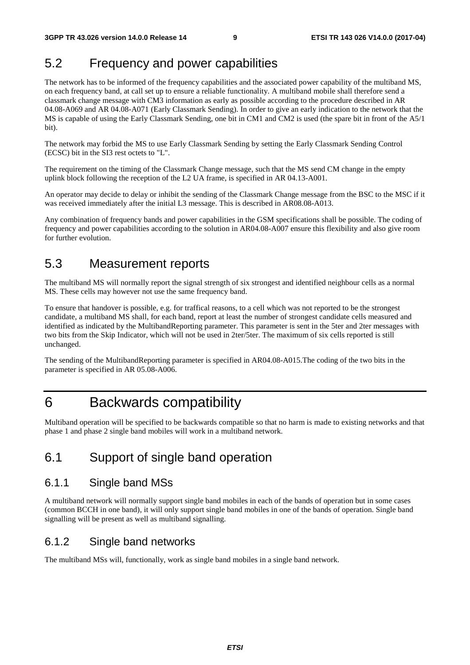### 5.2 Frequency and power capabilities

The network has to be informed of the frequency capabilities and the associated power capability of the multiband MS, on each frequency band, at call set up to ensure a reliable functionality. A multiband mobile shall therefore send a classmark change message with CM3 information as early as possible according to the procedure described in AR 04.08-A069 and AR 04.08-A071 (Early Classmark Sending)*.* In order to give an early indication to the network that the MS is capable of using the Early Classmark Sending, one bit in CM1 and CM2 is used (the spare bit in front of the A5/1 bit).

The network may forbid the MS to use Early Classmark Sending by setting the Early Classmark Sending Control (ECSC) bit in the SI3 rest octets to "L".

The requirement on the timing of the Classmark Change message, such that the MS send CM change in the empty uplink block following the reception of the L2 UA frame, is specified in AR 04.13-A001.

An operator may decide to delay or inhibit the sending of the Classmark Change message from the BSC to the MSC if it was received immediately after the initial L3 message. This is described in AR08.08-A013.

Any combination of frequency bands and power capabilities in the GSM specifications shall be possible. The coding of frequency and power capabilities according to the solution in AR04.08-A007 ensure this flexibility and also give room for further evolution.

### 5.3 Measurement reports

The multiband MS will normally report the signal strength of six strongest and identified neighbour cells as a normal MS. These cells may however not use the same frequency band.

To ensure that handover is possible, e.g. for traffical reasons, to a cell which was not reported to be the strongest candidate, a multiband MS shall, for each band, report at least the number of strongest candidate cells measured and identified as indicated by the MultibandReporting parameter. This parameter is sent in the 5ter and 2ter messages with two bits from the Skip Indicator, which will not be used in 2ter/5ter. The maximum of six cells reported is still unchanged.

The sending of the MultibandReporting parameter is specified in AR04.08-A015.The coding of the two bits in the parameter is specified in AR 05.08-A006.

### 6 Backwards compatibility

Multiband operation will be specified to be backwards compatible so that no harm is made to existing networks and that phase 1 and phase 2 single band mobiles will work in a multiband network.

### 6.1 Support of single band operation

### 6.1.1 Single band MSs

A multiband network will normally support single band mobiles in each of the bands of operation but in some cases (common BCCH in one band), it will only support single band mobiles in one of the bands of operation. Single band signalling will be present as well as multiband signalling.

### 6.1.2 Single band networks

The multiband MSs will, functionally, work as single band mobiles in a single band network.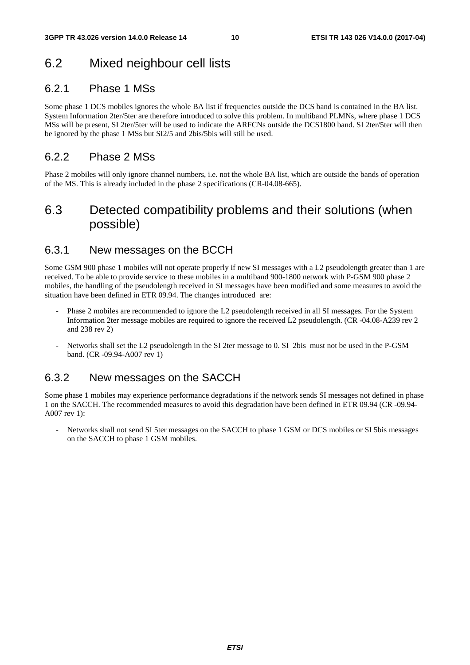### 6.2 Mixed neighbour cell lists

### 6.2.1 Phase 1 MSs

Some phase 1 DCS mobiles ignores the whole BA list if frequencies outside the DCS band is contained in the BA list. System Information 2ter/5ter are therefore introduced to solve this problem. In multiband PLMNs, where phase 1 DCS MSs will be present, SI 2ter/5ter will be used to indicate the ARFCNs outside the DCS1800 band. SI 2ter/5ter will then be ignored by the phase 1 MSs but SI2/5 and 2bis/5bis will still be used.

### 6.2.2 Phase 2 MSs

Phase 2 mobiles will only ignore channel numbers, i.e. not the whole BA list, which are outside the bands of operation of the MS. This is already included in the phase 2 specifications (CR-04.08-665).

### 6.3 Detected compatibility problems and their solutions (when possible)

### 6.3.1 New messages on the BCCH

Some GSM 900 phase 1 mobiles will not operate properly if new SI messages with a L2 pseudolength greater than 1 are received. To be able to provide service to these mobiles in a multiband 900-1800 network with P-GSM 900 phase 2 mobiles, the handling of the pseudolength received in SI messages have been modified and some measures to avoid the situation have been defined in ETR 09.94. The changes introduced are:

- Phase 2 mobiles are recommended to ignore the L2 pseudolength received in all SI messages. For the System Information 2ter message mobiles are required to ignore the received L2 pseudolength. (CR -04.08-A239 rev 2 and 238 rev 2)
- Networks shall set the L2 pseudolength in the SI 2ter message to 0. SI 2bis must not be used in the P-GSM band. (CR -09.94-A007 rev 1)

### 6.3.2 New messages on the SACCH

Some phase 1 mobiles may experience performance degradations if the network sends SI messages not defined in phase 1 on the SACCH. The recommended measures to avoid this degradation have been defined in ETR 09.94 (CR -09.94- A007 rev 1):

- Networks shall not send SI 5ter messages on the SACCH to phase 1 GSM or DCS mobiles or SI 5bis messages on the SACCH to phase 1 GSM mobiles.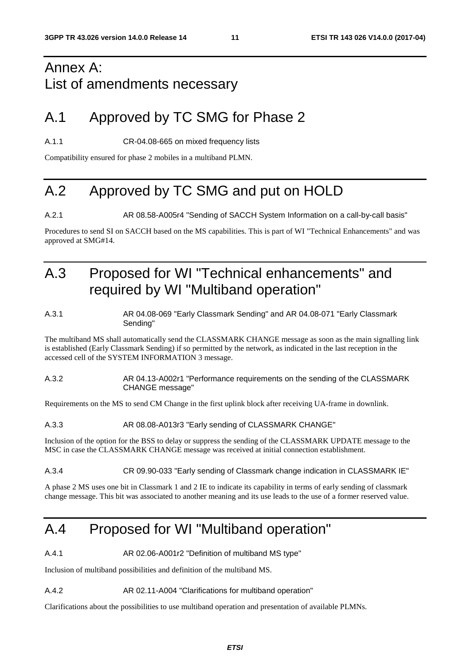# Annex A: List of amendments necessary

# A.1 Approved by TC SMG for Phase 2

A.1.1 CR-04.08-665 on mixed frequency lists

Compatibility ensured for phase 2 mobiles in a multiband PLMN.

# A.2 Approved by TC SMG and put on HOLD

A.2.1 **AR 08.58-A005r4 "Sending of SACCH System Information on a call-by-call basis"** 

Procedures to send SI on SACCH based on the MS capabilities. This is part of WI "Technical Enhancements" and was approved at SMG#14.

# A.3 Proposed for WI "Technical enhancements" and required by WI "Multiband operation"

#### A.3.1 AR 04.08-069 "Early Classmark Sending" and AR 04.08-071 "Early Classmark Sending"

The multiband MS shall automatically send the CLASSMARK CHANGE message as soon as the main signalling link is established (Early Classmark Sending) if so permitted by the network, as indicated in the last reception in the accessed cell of the SYSTEM INFORMATION 3 message.

#### A.3.2 AR 04.13-A002r1 "Performance requirements on the sending of the CLASSMARK CHANGE message"

Requirements on the MS to send CM Change in the first uplink block after receiving UA-frame in downlink.

#### A.3.3 AR 08.08-A013r3 "Early sending of CLASSMARK CHANGE"

Inclusion of the option for the BSS to delay or suppress the sending of the CLASSMARK UPDATE message to the MSC in case the CLASSMARK CHANGE message was received at initial connection establishment.

A.3.4 CR 09.90-033 "Early sending of Classmark change indication in CLASSMARK IE"

A phase 2 MS uses one bit in Classmark 1 and 2 IE to indicate its capability in terms of early sending of classmark change message. This bit was associated to another meaning and its use leads to the use of a former reserved value.

# A.4 Proposed for WI "Multiband operation"

A.4.1 **AR 02.06-A001r2 "Definition of multiband MS type"** 

Inclusion of multiband possibilities and definition of the multiband MS.

#### A.4.2 AR 02.11-A004 "Clarifications for multiband operation"

Clarifications about the possibilities to use multiband operation and presentation of available PLMNs.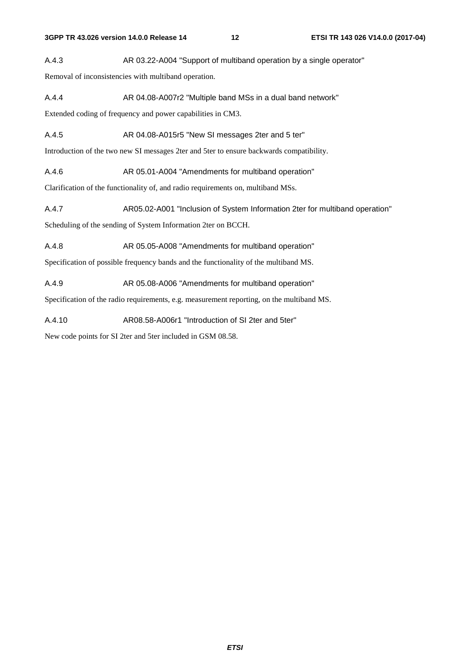A.4.3 AR 03.22-A004 "Support of multiband operation by a single operator"

Removal of inconsistencies with multiband operation.

A.4.4 AR 04.08-A007r2 "Multiple band MSs in a dual band network"

Extended coding of frequency and power capabilities in CM3.

A.4.5 AR 04.08-A015r5 "New SI messages 2ter and 5 ter"

Introduction of the two new SI messages 2ter and 5ter to ensure backwards compatibility.

A.4.6 AR 05.01-A004 "Amendments for multiband operation"

Clarification of the functionality of, and radio requirements on, multiband MSs.

A.4.7 AR05.02-A001 "Inclusion of System Information 2ter for multiband operation"

Scheduling of the sending of System Information 2ter on BCCH.

A.4.8 AR 05.05-A008 "Amendments for multiband operation"

Specification of possible frequency bands and the functionality of the multiband MS.

A.4.9 AR 05.08-A006 "Amendments for multiband operation"

Specification of the radio requirements, e.g. measurement reporting, on the multiband MS.

A.4.10 AR08.58-A006r1 "Introduction of SI 2ter and 5ter"

New code points for SI 2ter and 5ter included in GSM 08.58.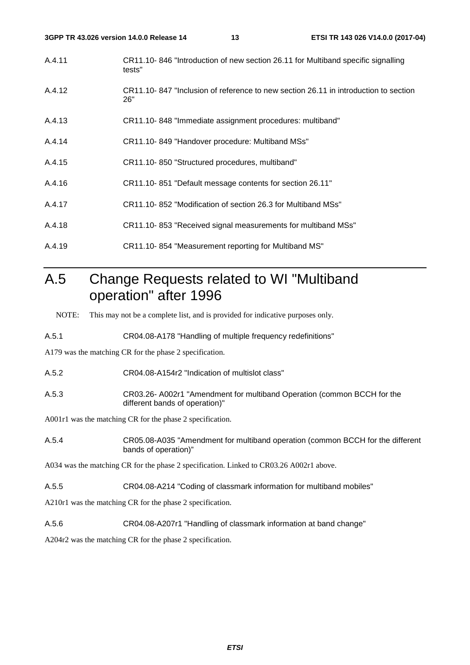- A.4.11 CR11.10- 846 "Introduction of new section 26.11 for Multiband specific signalling tests"
- A.4.12 CR11.10- 847 "Inclusion of reference to new section 26.11 in introduction to section 26"
- A.4.13 CR11.10- 848 "Immediate assignment procedures: multiband"
- A.4.14 CR11.10- 849 "Handover procedure: Multiband MSs"
- A.4.15 CR11.10- 850 "Structured procedures, multiband"
- A.4.16 CR11.10- 851 "Default message contents for section 26.11"
- A.4.17 CR11.10- 852 "Modification of section 26.3 for Multiband MSs"
- A.4.18 CR11.10- 853 "Received signal measurements for multiband MSs"
- A.4.19 CR11.10- 854 "Measurement reporting for Multiband MS"

# A.5 Change Requests related to WI "Multiband operation" after 1996

NOTE: This may not be a complete list, and is provided for indicative purposes only.

A.5.1 CR04.08-A178 "Handling of multiple frequency redefinitions"

A179 was the matching CR for the phase 2 specification.

- A.5.2 CR04.08-A154r2 "Indication of multislot class"
- A.5.3 CR03.26- A002r1 "Amendment for multiband Operation (common BCCH for the different bands of operation)"

A001r1 was the matching CR for the phase 2 specification.

A.5.4 CR05.08-A035 "Amendment for multiband operation (common BCCH for the different bands of operation)"

A034 was the matching CR for the phase 2 specification. Linked to CR03.26 A002r1 above.

A.5.5 CR04.08-A214 "Coding of classmark information for multiband mobiles"

A210r1 was the matching CR for the phase 2 specification.

A.5.6 CR04.08-A207r1 "Handling of classmark information at band change"

A204r2 was the matching CR for the phase 2 specification.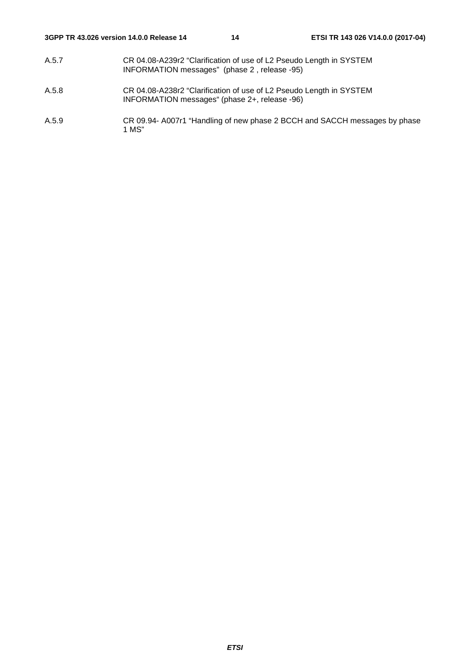- A.5.7 CR 04.08-A239r2 "Clarification of use of L2 Pseudo Length in SYSTEM INFORMATION messages" (phase 2 , release -95)
- A.5.8 CR 04.08-A238r2 "Clarification of use of L2 Pseudo Length in SYSTEM INFORMATION messages" (phase 2+, release -96)
- A.5.9 CR 09.94- A007r1 "Handling of new phase 2 BCCH and SACCH messages by phase 1 MS"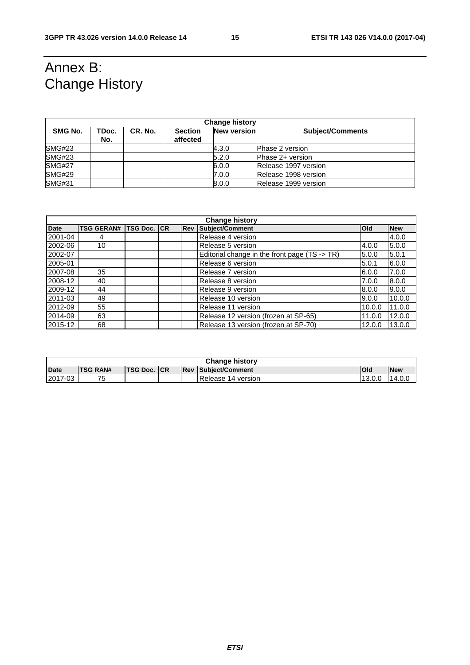# Annex B: Change History

| <b>Change history</b> |              |         |                            |                    |                         |  |
|-----------------------|--------------|---------|----------------------------|--------------------|-------------------------|--|
| SMG No.               | TDoc.<br>No. | CR. No. | <b>Section</b><br>affected | <b>New version</b> | <b>Subject/Comments</b> |  |
| SMG#23                |              |         |                            | 4.3.0              | <b>Phase 2 version</b>  |  |
| SMG#23                |              |         |                            | 5.2.0              | Phase 2+ version        |  |
| <b>SMG#27</b>         |              |         |                            | 6.0.0              | Release 1997 version    |  |
| <b>SMG#29</b>         |              |         |                            | 7.0.0              | Release 1998 version    |  |
| <b>SMG#31</b>         |              |         |                            | 8.0.0              | Release 1999 version    |  |

| <b>Change history</b> |                   |                 |    |            |                                               |        |            |
|-----------------------|-------------------|-----------------|----|------------|-----------------------------------------------|--------|------------|
| <b>Date</b>           | <b>TSG GERAN#</b> | <b>TSG Doc.</b> | CR | <b>Rev</b> | Subject/Comment                               | Old    | <b>New</b> |
| 2001-04               | 4                 |                 |    |            | Release 4 version                             |        | 4.0.0      |
| 2002-06               | 10                |                 |    |            | Release 5 version                             | 4.0.0  | 5.0.0      |
| 2002-07               |                   |                 |    |            | Editorial change in the front page (TS -> TR) | 5.0.0  | 5.0.1      |
| 2005-01               |                   |                 |    |            | Release 6 version                             | 5.0.1  | 6.0.0      |
| 2007-08               | 35                |                 |    |            | Release 7 version                             | 6.0.0  | 7.0.0      |
| 2008-12               | 40                |                 |    |            | Release 8 version                             | 7.0.0  | 8.0.0      |
| 2009-12               | 44                |                 |    |            | Release 9 version                             | 8.0.0  | 9.0.0      |
| 2011-03               | 49                |                 |    |            | Release 10 version                            | 9.0.0  | 10.0.0     |
| 2012-09               | 55                |                 |    |            | Release 11 version                            | 10.0.0 | 11.0.0     |
| 2014-09               | 63                |                 |    |            | Release 12 version (frozen at SP-65)          | 11.0.0 | 12.0.0     |
| 2015-12               | 68                |                 |    |            | Release 13 version (frozen at SP-70)          | 12.0.0 | 13.0.0     |

| <b>Change history</b> |                 |          |     |            |                        |            |            |
|-----------------------|-----------------|----------|-----|------------|------------------------|------------|------------|
| <b>Date</b>           | <b>TSG RAN#</b> | TSG Doc. | ICR | <b>Rev</b> | <b>Subiect/Comment</b> | <b>Old</b> | <b>New</b> |
| 2017-03               | フ斥<br>J         |          |     |            | Release 14 version     | 13.0.0     | 14.0L      |